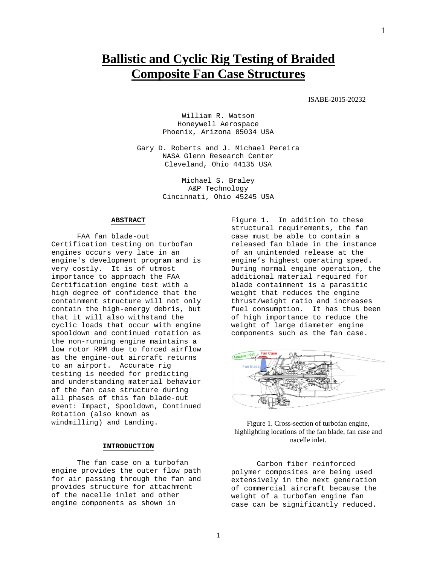# **Ballistic and Cyclic Rig Testing of Braided Composite Fan Case Structures**

### ISABE-2015-20232

William R. Watson Honeywell Aerospace Phoenix, Arizona 85034 USA

Gary D. Roberts and J. Michael Pereira NASA Glenn Research Center Cleveland, Ohio 44135 USA

> Michael S. Braley A&P Technology Cincinnati, Ohio 45245 USA

#### **ABSTRACT**

FAA fan blade-out Certification testing on turbofan engines occurs very late in an engine's development program and is very costly. It is of utmost importance to approach the FAA Certification engine test with a high degree of confidence that the containment structure will not only contain the high-energy debris, but that it will also withstand the cyclic loads that occur with engine spooldown and continued rotation as the non-running engine maintains a low rotor RPM due to forced airflow as the engine-out aircraft returns to an airport. Accurate rig testing is needed for predicting and understanding material behavior of the fan case structure during all phases of this fan blade-out event: Impact, Spooldown, Continued Rotation (also known as windmilling) and Landing.

# **INTRODUCTION**

The fan case on a turbofan engine provides the outer flow path for air passing through the fan and provides structure for attachment of the nacelle inlet and other engine components as shown in

Figure 1. In addition to these structural requirements, the fan case must be able to contain a released fan blade in the instance of an unintended release at the engine's highest operating speed. During normal engine operation, the additional material required for blade containment is a parasitic weight that reduces the engine thrust/weight ratio and increases fuel consumption. It has thus been of high importance to reduce the weight of large diameter engine components such as the fan case.



Figure 1. Cross-section of turbofan engine, highlighting locations of the fan blade, fan case and nacelle inlet.

Carbon fiber reinforced polymer composites are being used extensively in the next generation of commercial aircraft because the weight of a turbofan engine fan case can be significantly reduced.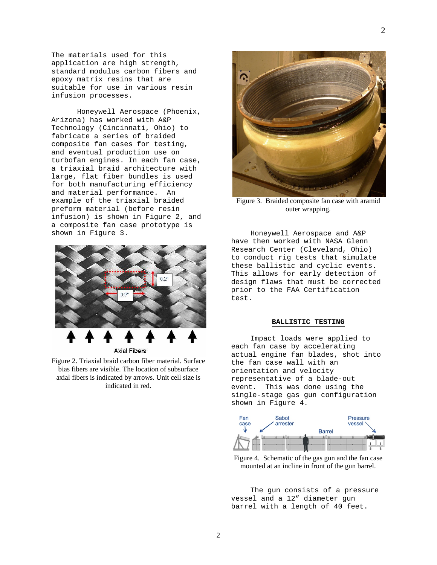The materials used for this application are high strength, standard modulus carbon fibers and epoxy matrix resins that are suitable for use in various resin infusion processes.

Honeywell Aerospace (Phoenix, Arizona) has worked with A&P Technology (Cincinnati, Ohio) to fabricate a series of braided composite fan cases for testing, and eventual production use on turbofan engines. In each fan case, a triaxial braid architecture with large, flat fiber bundles is used for both manufacturing efficiency and material performance. An example of the triaxial braided preform material (before resin infusion) is shown in Figure 2, and a composite fan case prototype is shown in Figure 3.



**Axial Fibers** 

Figure 2. Triaxial braid carbon fiber material. Surface bias fibers are visible. The location of subsurface axial fibers is indicated by arrows. Unit cell size is indicated in red.



Figure 3. Braided composite fan case with aramid outer wrapping.

Honeywell Aerospace and A&P have then worked with NASA Glenn Research Center (Cleveland, Ohio) to conduct rig tests that simulate these ballistic and cyclic events. This allows for early detection of design flaws that must be corrected prior to the FAA Certification test.

# **BALLISTIC TESTING**

Impact loads were applied to each fan case by accelerating actual engine fan blades, shot into the fan case wall with an orientation and velocity representative of a blade-out event. This was done using the single-stage gas gun configuration shown in Figure 4.



Figure 4. Schematic of the gas gun and the fan case mounted at an incline in front of the gun barrel.

The gun consists of a pressure vessel and a 12" diameter gun barrel with a length of 40 feet.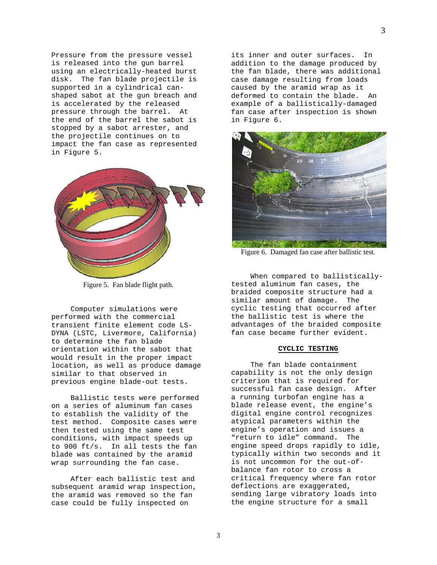Pressure from the pressure vessel is released into the gun barrel using an electrically-heated burst disk. The fan blade projectile is supported in a cylindrical canshaped sabot at the gun breach and is accelerated by the released pressure through the barrel. At the end of the barrel the sabot is stopped by a sabot arrester, and the projectile continues on to impact the fan case as represented in Figure 5.



Figure 5. Fan blade flight path.

Computer simulations were performed with the commercial transient finite element code LS-DYNA (LSTC, Livermore, California) to determine the fan blade orientation within the sabot that would result in the proper impact location, as well as produce damage similar to that observed in previous engine blade-out tests.

Ballistic tests were performed on a series of aluminum fan cases to establish the validity of the test method. Composite cases were then tested using the same test conditions, with impact speeds up to 900 ft/s. In all tests the fan blade was contained by the aramid wrap surrounding the fan case.

After each ballistic test and subsequent aramid wrap inspection, the aramid was removed so the fan case could be fully inspected on

its inner and outer surfaces. In addition to the damage produced by the fan blade, there was additional case damage resulting from loads caused by the aramid wrap as it deformed to contain the blade. An example of a ballistically-damaged fan case after inspection is shown in Figure 6.



Figure 6. Damaged fan case after ballistic test.

When compared to ballisticallytested aluminum fan cases, the braided composite structure had a similar amount of damage. The cyclic testing that occurred after the ballistic test is where the advantages of the braided composite fan case became further evident.

#### **CYCLIC TESTING**

The fan blade containment capability is not the only design criterion that is required for successful fan case design. After a running turbofan engine has a blade release event, the engine's digital engine control recognizes atypical parameters within the engine's operation and issues a "return to idle" command. The engine speed drops rapidly to idle, typically within two seconds and it is not uncommon for the out-ofbalance fan rotor to cross a critical frequency where fan rotor deflections are exaggerated, sending large vibratory loads into the engine structure for a small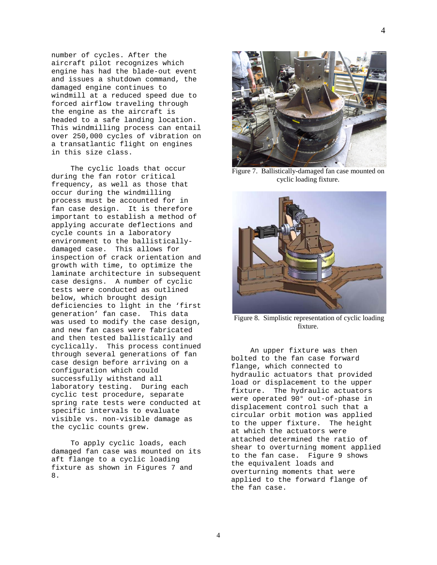number of cycles. After the aircraft pilot recognizes which engine has had the blade-out event and issues a shutdown command, the damaged engine continues to windmill at a reduced speed due to forced airflow traveling through the engine as the aircraft is headed to a safe landing location. This windmilling process can entail over 250,000 cycles of vibration on a transatlantic flight on engines in this size class.

The cyclic loads that occur during the fan rotor critical frequency, as well as those that occur during the windmilling process must be accounted for in fan case design. It is therefore important to establish a method of applying accurate deflections and cycle counts in a laboratory environment to the ballisticallydamaged case. This allows for inspection of crack orientation and growth with time, to optimize the laminate architecture in subsequent case designs. A number of cyclic tests were conducted as outlined below, which brought design deficiencies to light in the 'first generation' fan case. This data was used to modify the case design, and new fan cases were fabricated and then tested ballistically and cyclically. This process continued through several generations of fan case design before arriving on a configuration which could successfully withstand all laboratory testing. During each cyclic test procedure, separate spring rate tests were conducted at specific intervals to evaluate visible vs. non-visible damage as the cyclic counts grew.

To apply cyclic loads, each damaged fan case was mounted on its aft flange to a cyclic loading fixture as shown in Figures 7 and 8.



Figure 7. Ballistically-damaged fan case mounted on cyclic loading fixture.



Figure 8. Simplistic representation of cyclic loading fixture.

An upper fixture was then bolted to the fan case forward flange, which connected to hydraulic actuators that provided load or displacement to the upper fixture. The hydraulic actuators were operated 90° out-of-phase in displacement control such that a circular orbit motion was applied to the upper fixture. The height at which the actuators were attached determined the ratio of shear to overturning moment applied to the fan case. Figure 9 shows the equivalent loads and overturning moments that were applied to the forward flange of the fan case.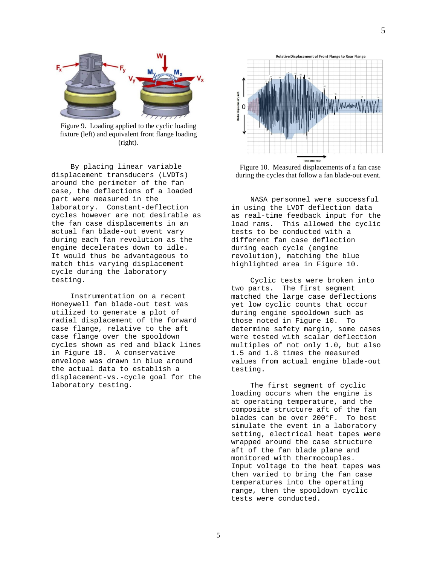

Figure 9. Loading applied to the cyclic loading fixture (left) and equivalent front flange loading (right).

By placing linear variable displacement transducers (LVDTs) around the perimeter of the fan case, the deflections of a loaded part were measured in the laboratory. Constant-deflection cycles however are not desirable as the fan case displacements in an actual fan blade-out event vary during each fan revolution as the engine decelerates down to idle. It would thus be advantageous to match this varying displacement cycle during the laboratory testing.

Instrumentation on a recent Honeywell fan blade-out test was utilized to generate a plot of radial displacement of the forward case flange, relative to the aft case flange over the spooldown cycles shown as red and black lines in Figure 10. A conservative envelope was drawn in blue around the actual data to establish a displacement-vs.-cycle goal for the laboratory testing.



Figure 10. Measured displacements of a fan case during the cycles that follow a fan blade-out event.

NASA personnel were successful in using the LVDT deflection data as real-time feedback input for the load rams. This allowed the cyclic tests to be conducted with a different fan case deflection during each cycle (engine revolution), matching the blue highlighted area in Figure 10.

Cyclic tests were broken into two parts. The first segment matched the large case deflections yet low cyclic counts that occur during engine spooldown such as those noted in Figure 10. To determine safety margin, some cases were tested with scalar deflection multiples of not only 1.0, but also 1.5 and 1.8 times the measured values from actual engine blade-out testing.

The first segment of cyclic loading occurs when the engine is at operating temperature, and the composite structure aft of the fan blades can be over 200°F. To best simulate the event in a laboratory setting, electrical heat tapes were wrapped around the case structure aft of the fan blade plane and monitored with thermocouples. Input voltage to the heat tapes was then varied to bring the fan case temperatures into the operating range, then the spooldown cyclic tests were conducted.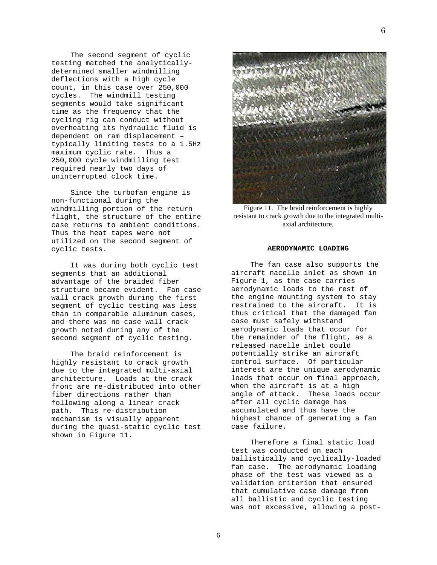The second segment of cyclic testing matched the analyticallydetermined smaller windmilling deflections with a high cycle count, in this case over 250,000 cycles. The windmill testing segments would take significant time as the frequency that the cycling rig can conduct without overheating its hydraulic fluid is dependent on ram displacement – typically limiting tests to a 1.5Hz maximum cyclic rate. Thus a 250,000 cycle windmilling test required nearly two days of uninterrupted clock time.

Since the turbofan engine is non-functional during the windmilling portion of the return flight, the structure of the entire case returns to ambient conditions. Thus the heat tapes were not utilized on the second segment of cyclic tests.

It was during both cyclic test segments that an additional advantage of the braided fiber structure became evident. Fan case wall crack growth during the first segment of cyclic testing was less than in comparable aluminum cases, and there was no case wall crack growth noted during any of the second segment of cyclic testing.

The braid reinforcement is highly resistant to crack growth due to the integrated multi-axial architecture. Loads at the crack front are re-distributed into other fiber directions rather than following along a linear crack path. This re-distribution mechanism is visually apparent during the quasi-static cyclic test shown in Figure 11.



Figure 11. The braid reinforcement is highly resistant to crack growth due to the integrated multiaxial architecture.

#### **AERODYNAMIC LOADING**

The fan case also supports the aircraft nacelle inlet as shown in Figure 1, as the case carries aerodynamic loads to the rest of the engine mounting system to stay restrained to the aircraft. It is thus critical that the damaged fan case must safely withstand aerodynamic loads that occur for the remainder of the flight, as a released nacelle inlet could potentially strike an aircraft control surface. Of particular interest are the unique aerodynamic loads that occur on final approach, when the aircraft is at a high angle of attack. These loads occur after all cyclic damage has accumulated and thus have the highest chance of generating a fan case failure.

Therefore a final static load test was conducted on each ballistically and cyclically-loaded fan case. The aerodynamic loading phase of the test was viewed as a validation criterion that ensured that cumulative case damage from all ballistic and cyclic testing was not excessive, allowing a post